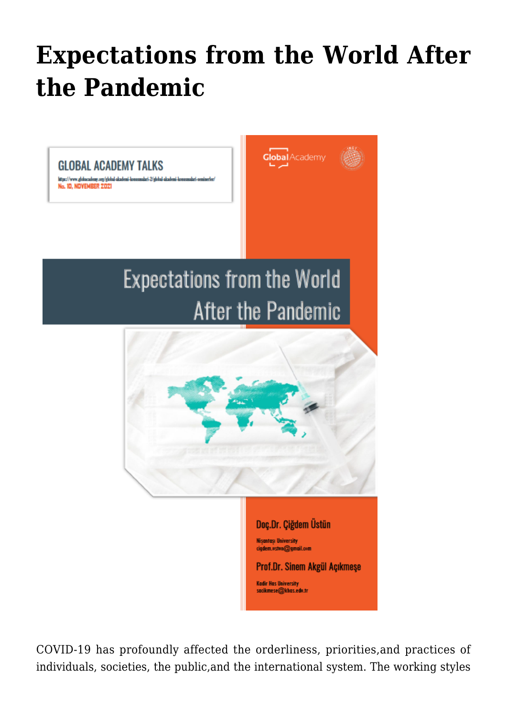## **[Expectations from the World After](https://www.uikpanorama.com/blog/2022/01/16/expectations-from-the-world-after-the-pandemic-2/) [the Pandemic](https://www.uikpanorama.com/blog/2022/01/16/expectations-from-the-world-after-the-pandemic-2/)**



COVID-19 has profoundly affected the orderliness, priorities,and practices of individuals, societies, the public,and the international system. The working styles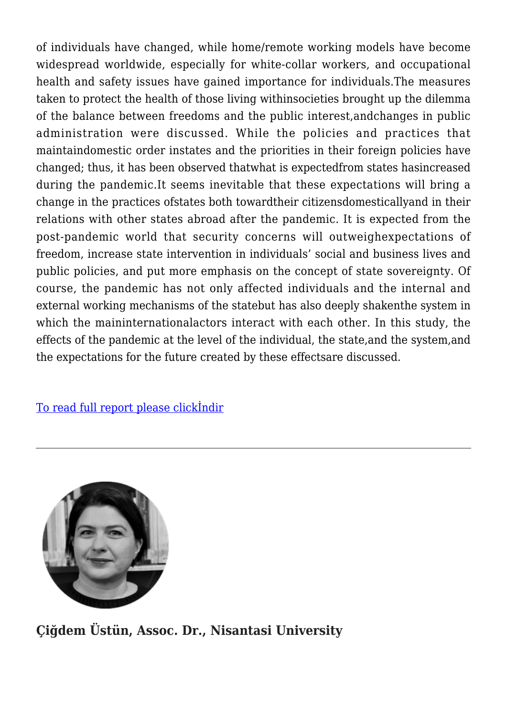of individuals have changed, while home/remote working models have become widespread worldwide, especially for white-collar workers, and occupational health and safety issues have gained importance for individuals.The measures taken to protect the health of those living withinsocieties brought up the dilemma of the balance between freedoms and the public interest,andchanges in public administration were discussed. While the policies and practices that maintaindomestic order instates and the priorities in their foreign policies have changed; thus, it has been observed thatwhat is expectedfrom states hasincreased during the pandemic.It seems inevitable that these expectations will bring a change in the practices ofstates both towardtheir citizensdomesticallyand in their relations with other states abroad after the pandemic. It is expected from the post-pandemic world that security concerns will outweighexpectations of freedom, increase state intervention in individuals' social and business lives and public policies, and put more emphasis on the concept of state sovereignty. Of course, the pandemic has not only affected individuals and the internal and external working mechanisms of the statebut has also deeply shakenthe system in which the maininternationalactors interact with each other. In this study, the effects of the pandemic at the level of the individual, the state,and the system,and the expectations for the future created by these effectsare discussed.

[To read full report please clickİndir](https://www.uikpanorama.com/wp-content/uploads/2022/01/SAcikmese-CUstun_Expectations_v.1.pdf)



**Çiğdem Üstün, Assoc. Dr., Nisantasi University**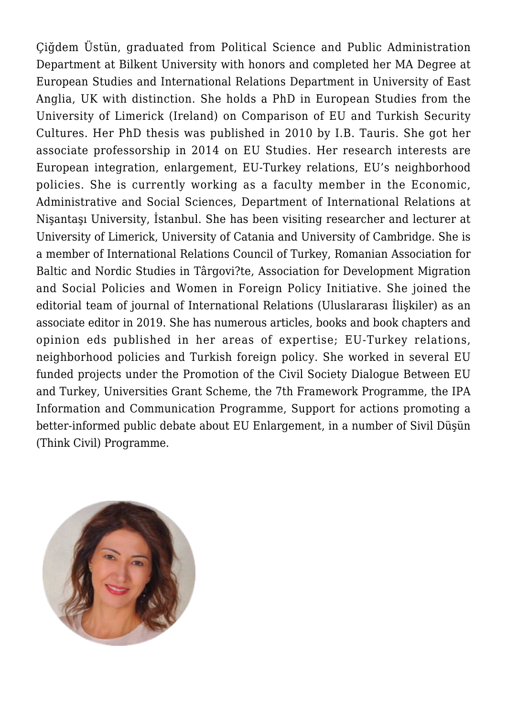Çiğdem Üstün, graduated from Political Science and Public Administration Department at Bilkent University with honors and completed her MA Degree at European Studies and International Relations Department in University of East Anglia, UK with distinction. She holds a PhD in European Studies from the University of Limerick (Ireland) on Comparison of EU and Turkish Security Cultures. Her PhD thesis was published in 2010 by I.B. Tauris. She got her associate professorship in 2014 on EU Studies. Her research interests are European integration, enlargement, EU-Turkey relations, EU's neighborhood policies. She is currently working as a faculty member in the Economic, Administrative and Social Sciences, Department of International Relations at Nişantaşı University, İstanbul. She has been visiting researcher and lecturer at University of Limerick, University of Catania and University of Cambridge. She is a member of International Relations Council of Turkey, Romanian Association for Baltic and Nordic Studies in Târgovi?te, Association for Development Migration and Social Policies and Women in Foreign Policy Initiative. She joined the editorial team of journal of International Relations (Uluslararası İlişkiler) as an associate editor in 2019. She has numerous articles, books and book chapters and opinion eds published in her areas of expertise; EU-Turkey relations, neighborhood policies and Turkish foreign policy. She worked in several EU funded projects under the Promotion of the Civil Society Dialogue Between EU and Turkey, Universities Grant Scheme, the 7th Framework Programme, the IPA Information and Communication Programme, Support for actions promoting a better-informed public debate about EU Enlargement, in a number of Sivil Düşün (Think Civil) Programme.